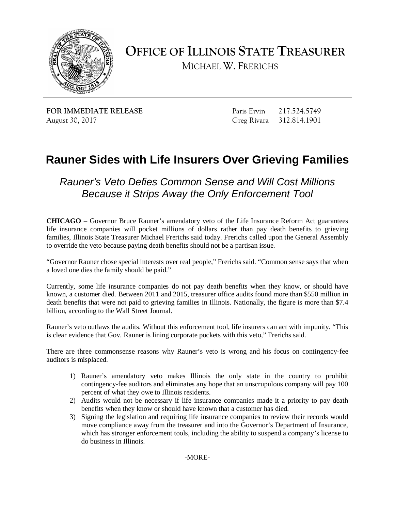

**OFFICE OF ILLINOIS STATE TREASURER** 

MICHAEL W. FRERICHS

**FOR IMMEDIATE RELEASE** August 30, 2017

Paris Ervin 217.524.5749 Greg Rivara 312.814.1901

## **Rauner Sides with Life Insurers Over Grieving Families**

 *Because it Strips Away the Only Enforcement Tool Rauner's Veto Defies Common Sense and Will Cost Millions* 

 **CHICAGO** – Governor Bruce Rauner's amendatory veto of the Life Insurance Reform Act guarantees life insurance companies will pocket millions of dollars rather than pay death benefits to grieving families, Illinois State Treasurer Michael Frerichs said today. Frerichs called upon the General Assembly to override the veto because paying death benefits should not be a partisan issue.

 a loved one dies the family should be paid." "Governor Rauner chose special interests over real people," Frerichs said. "Common sense says that when

 Currently, some life insurance companies do not pay death benefits when they know, or should have death benefits that were not paid to grieving families in Illinois. Nationally, the figure is more than \$7.4 known, a customer died. Between 2011 and 2015, treasurer office audits found more than \$550 million in billion, according to the Wall Street Journal.

Rauner's veto outlaws the audits. Without this enforcement tool, life insurers can act with impunity. "This is clear evidence that Gov. Rauner is lining corporate pockets with this veto," Frerichs said.

 There are three commonsense reasons why Rauner's veto is wrong and his focus on contingency-fee auditors is misplaced.

- 1) Rauner's amendatory veto makes Illinois the only state in the country to prohibit contingency-fee auditors and eliminates any hope that an unscrupulous company will pay 100 percent of what they owe to Illinois residents.
- 2) Audits would not be necessary if life insurance companies made it a priority to pay death benefits when they know or should have known that a customer has died.
- do business in Illinois.<br>-MORE-3) Signing the legislation and requiring life insurance companies to review their records would move compliance away from the treasurer and into the Governor's Department of Insurance, which has stronger enforcement tools, including the ability to suspend a company's license to